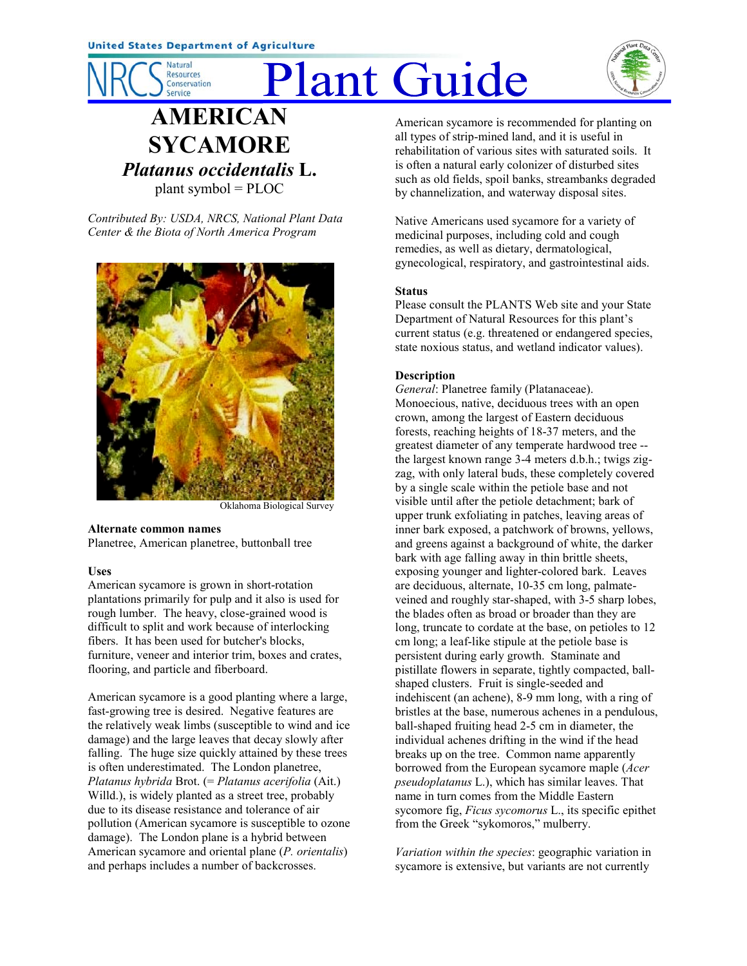

# Plant Guide



# **AMERICAN SYCAMORE** *Platanus occidentalis* **L.** plant symbol = PLOC

*Contributed By: USDA, NRCS, National Plant Data Center & the Biota of North America Program*



Oklahoma Biological Survey

#### **Alternate common names**

Planetree, American planetree, buttonball tree

## **Uses**

American sycamore is grown in short-rotation plantations primarily for pulp and it also is used for rough lumber. The heavy, close-grained wood is difficult to split and work because of interlocking fibers. It has been used for butcher's blocks, furniture, veneer and interior trim, boxes and crates, flooring, and particle and fiberboard.

American sycamore is a good planting where a large, fast-growing tree is desired. Negative features are the relatively weak limbs (susceptible to wind and ice damage) and the large leaves that decay slowly after falling. The huge size quickly attained by these trees is often underestimated. The London planetree, *Platanus hybrida* Brot. (= *Platanus acerifolia* (Ait.) Willd.), is widely planted as a street tree, probably due to its disease resistance and tolerance of air pollution (American sycamore is susceptible to ozone damage). The London plane is a hybrid between American sycamore and oriental plane (*P. orientalis*) and perhaps includes a number of backcrosses.

American sycamore is recommended for planting on all types of strip-mined land, and it is useful in rehabilitation of various sites with saturated soils. It is often a natural early colonizer of disturbed sites such as old fields, spoil banks, streambanks degraded by channelization, and waterway disposal sites.

Native Americans used sycamore for a variety of medicinal purposes, including cold and cough remedies, as well as dietary, dermatological, gynecological, respiratory, and gastrointestinal aids.

#### **Status**

Please consult the PLANTS Web site and your State Department of Natural Resources for this plant's current status (e.g. threatened or endangered species, state noxious status, and wetland indicator values).

#### **Description**

*General*: Planetree family (Platanaceae). Monoecious, native, deciduous trees with an open crown, among the largest of Eastern deciduous forests, reaching heights of 18-37 meters, and the greatest diameter of any temperate hardwood tree - the largest known range 3-4 meters d.b.h.; twigs zigzag, with only lateral buds, these completely covered by a single scale within the petiole base and not visible until after the petiole detachment; bark of upper trunk exfoliating in patches, leaving areas of inner bark exposed, a patchwork of browns, yellows, and greens against a background of white, the darker bark with age falling away in thin brittle sheets, exposing younger and lighter-colored bark. Leaves are deciduous, alternate, 10-35 cm long, palmateveined and roughly star-shaped, with 3-5 sharp lobes, the blades often as broad or broader than they are long, truncate to cordate at the base, on petioles to 12 cm long; a leaf-like stipule at the petiole base is persistent during early growth. Staminate and pistillate flowers in separate, tightly compacted, ballshaped clusters. Fruit is single-seeded and indehiscent (an achene), 8-9 mm long, with a ring of bristles at the base, numerous achenes in a pendulous, ball-shaped fruiting head 2-5 cm in diameter, the individual achenes drifting in the wind if the head breaks up on the tree. Common name apparently borrowed from the European sycamore maple (*Acer pseudoplatanus* L.), which has similar leaves. That name in turn comes from the Middle Eastern sycomore fig, *Ficus sycomorus* L., its specific epithet from the Greek "sykomoros," mulberry.

*Variation within the species*: geographic variation in sycamore is extensive, but variants are not currently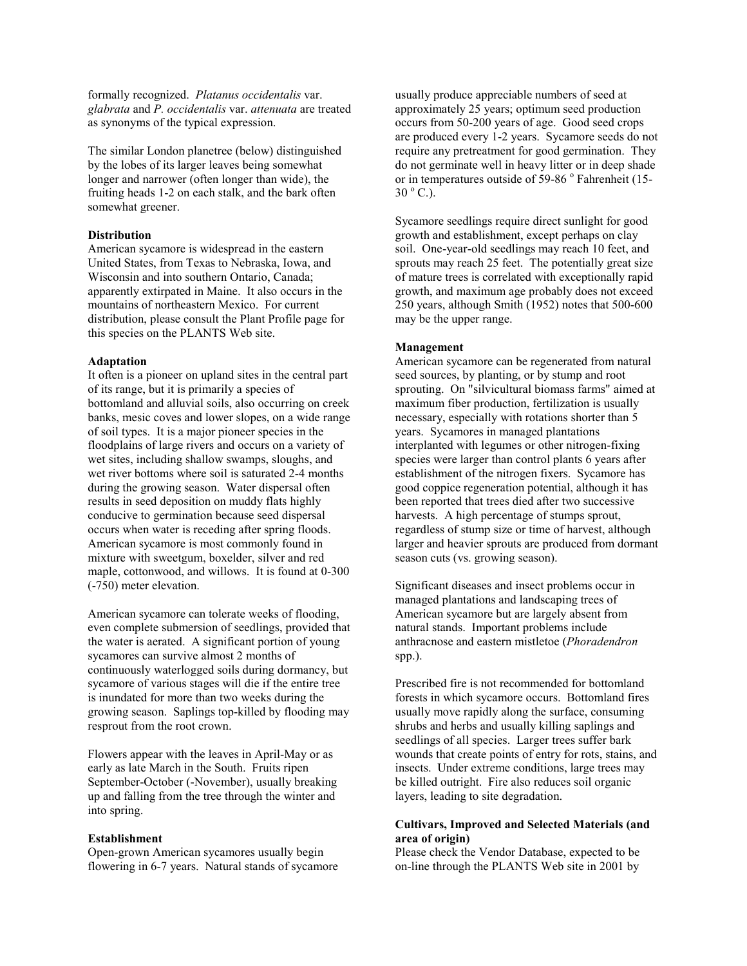formally recognized. *Platanus occidentalis* var. *glabrata* and *P. occidentalis* var. *attenuata* are treated as synonyms of the typical expression.

The similar London planetree (below) distinguished by the lobes of its larger leaves being somewhat longer and narrower (often longer than wide), the fruiting heads 1-2 on each stalk, and the bark often somewhat greener.

# **Distribution**

American sycamore is widespread in the eastern United States, from Texas to Nebraska, Iowa, and Wisconsin and into southern Ontario, Canada; apparently extirpated in Maine. It also occurs in the mountains of northeastern Mexico. For current distribution, please consult the Plant Profile page for this species on the PLANTS Web site.

#### **Adaptation**

It often is a pioneer on upland sites in the central part of its range, but it is primarily a species of bottomland and alluvial soils, also occurring on creek banks, mesic coves and lower slopes, on a wide range of soil types. It is a major pioneer species in the floodplains of large rivers and occurs on a variety of wet sites, including shallow swamps, sloughs, and wet river bottoms where soil is saturated 2-4 months during the growing season. Water dispersal often results in seed deposition on muddy flats highly conducive to germination because seed dispersal occurs when water is receding after spring floods. American sycamore is most commonly found in mixture with sweetgum, boxelder, silver and red maple, cottonwood, and willows. It is found at 0-300 (-750) meter elevation.

American sycamore can tolerate weeks of flooding, even complete submersion of seedlings, provided that the water is aerated. A significant portion of young sycamores can survive almost 2 months of continuously waterlogged soils during dormancy, but sycamore of various stages will die if the entire tree is inundated for more than two weeks during the growing season. Saplings top-killed by flooding may resprout from the root crown.

Flowers appear with the leaves in April-May or as early as late March in the South. Fruits ripen September-October (-November), usually breaking up and falling from the tree through the winter and into spring.

## **Establishment**

Open-grown American sycamores usually begin flowering in 6-7 years. Natural stands of sycamore usually produce appreciable numbers of seed at approximately 25 years; optimum seed production occurs from 50-200 years of age. Good seed crops are produced every 1-2 years. Sycamore seeds do not require any pretreatment for good germination. They do not germinate well in heavy litter or in deep shade or in temperatures outside of 59-86 ° Fahrenheit (15- $30^{\circ}$  C.).

Sycamore seedlings require direct sunlight for good growth and establishment, except perhaps on clay soil. One-year-old seedlings may reach 10 feet, and sprouts may reach 25 feet. The potentially great size of mature trees is correlated with exceptionally rapid growth, and maximum age probably does not exceed 250 years, although Smith (1952) notes that 500-600 may be the upper range.

#### **Management**

American sycamore can be regenerated from natural seed sources, by planting, or by stump and root sprouting. On "silvicultural biomass farms" aimed at maximum fiber production, fertilization is usually necessary, especially with rotations shorter than 5 years. Sycamores in managed plantations interplanted with legumes or other nitrogen-fixing species were larger than control plants 6 years after establishment of the nitrogen fixers. Sycamore has good coppice regeneration potential, although it has been reported that trees died after two successive harvests. A high percentage of stumps sprout, regardless of stump size or time of harvest, although larger and heavier sprouts are produced from dormant season cuts (vs. growing season).

Significant diseases and insect problems occur in managed plantations and landscaping trees of American sycamore but are largely absent from natural stands. Important problems include anthracnose and eastern mistletoe (*Phoradendron* spp.).

Prescribed fire is not recommended for bottomland forests in which sycamore occurs. Bottomland fires usually move rapidly along the surface, consuming shrubs and herbs and usually killing saplings and seedlings of all species. Larger trees suffer bark wounds that create points of entry for rots, stains, and insects. Under extreme conditions, large trees may be killed outright. Fire also reduces soil organic layers, leading to site degradation.

# **Cultivars, Improved and Selected Materials (and area of origin)**

Please check the Vendor Database, expected to be on-line through the PLANTS Web site in 2001 by